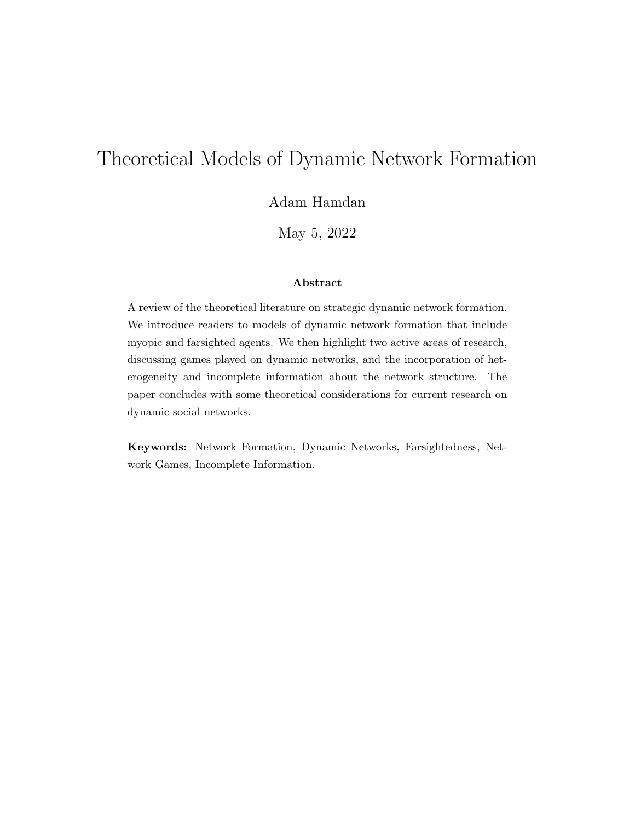# Theoretical Models of Dynamic Network Formation

Adam Hamdan

May 5, 2022

#### Abstract

A review of the theoretical literature on strategic dynamic network formation. We introduce readers to models of dynamic network formation that include myopic and farsighted agents. We then highlight two active areas of research, discussing games played on dynamic networks, and the incorporation of heterogeneity and incomplete information about the network structure. The paper concludes with some theoretical considerations for current research on dynamic social networks.

Keywords: Network Formation, Dynamic Networks, Farsightedness, Network Games, Incomplete Information.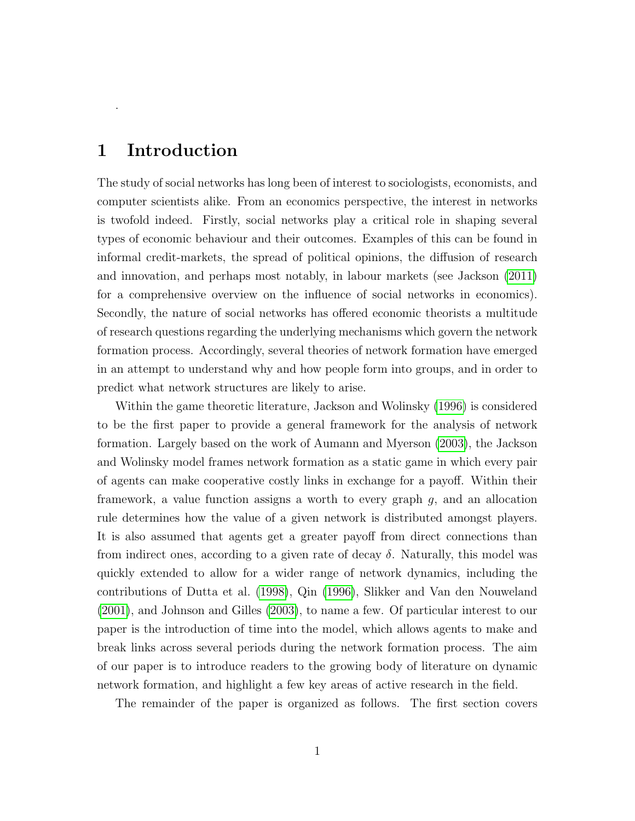### 1 Introduction

.

The study of social networks has long been of interest to sociologists, economists, and computer scientists alike. From an economics perspective, the interest in networks is twofold indeed. Firstly, social networks play a critical role in shaping several types of economic behaviour and their outcomes. Examples of this can be found in informal credit-markets, the spread of political opinions, the diffusion of research and innovation, and perhaps most notably, in labour markets (see Jackson [\(2011\)](#page-15-0) for a comprehensive overview on the influence of social networks in economics). Secondly, the nature of social networks has offered economic theorists a multitude of research questions regarding the underlying mechanisms which govern the network formation process. Accordingly, several theories of network formation have emerged in an attempt to understand why and how people form into groups, and in order to predict what network structures are likely to arise.

Within the game theoretic literature, Jackson and Wolinsky [\(1996\)](#page-15-1) is considered to be the first paper to provide a general framework for the analysis of network formation. Largely based on the work of Aumann and Myerson [\(2003\)](#page-14-0), the Jackson and Wolinsky model frames network formation as a static game in which every pair of agents can make cooperative costly links in exchange for a payoff. Within their framework, a value function assigns a worth to every graph  $g$ , and an allocation rule determines how the value of a given network is distributed amongst players. It is also assumed that agents get a greater payoff from direct connections than from indirect ones, according to a given rate of decay  $\delta$ . Naturally, this model was quickly extended to allow for a wider range of network dynamics, including the contributions of Dutta et al. [\(1998\)](#page-14-1), Qin [\(1996\)](#page-16-0), Slikker and Van den Nouweland [\(2001\)](#page-16-1), and Johnson and Gilles [\(2003\)](#page-15-2), to name a few. Of particular interest to our paper is the introduction of time into the model, which allows agents to make and break links across several periods during the network formation process. The aim of our paper is to introduce readers to the growing body of literature on dynamic network formation, and highlight a few key areas of active research in the field.

The remainder of the paper is organized as follows. The first section covers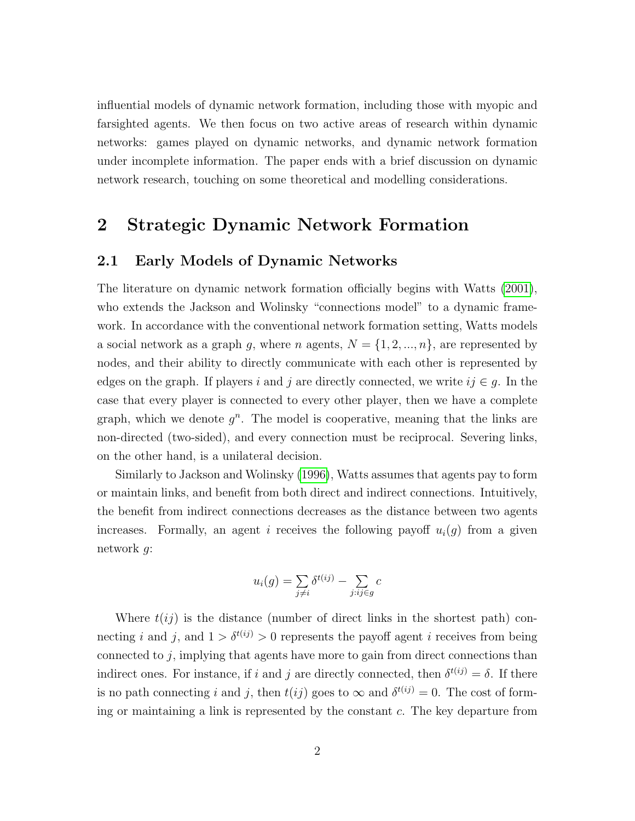influential models of dynamic network formation, including those with myopic and farsighted agents. We then focus on two active areas of research within dynamic networks: games played on dynamic networks, and dynamic network formation under incomplete information. The paper ends with a brief discussion on dynamic network research, touching on some theoretical and modelling considerations.

### 2 Strategic Dynamic Network Formation

#### 2.1 Early Models of Dynamic Networks

The literature on dynamic network formation officially begins with Watts [\(2001\)](#page-16-2), who extends the Jackson and Wolinsky "connections model" to a dynamic framework. In accordance with the conventional network formation setting, Watts models a social network as a graph g, where n agents,  $N = \{1, 2, ..., n\}$ , are represented by nodes, and their ability to directly communicate with each other is represented by edges on the graph. If players i and j are directly connected, we write  $ij \in g$ . In the case that every player is connected to every other player, then we have a complete graph, which we denote  $g^n$ . The model is cooperative, meaning that the links are non-directed (two-sided), and every connection must be reciprocal. Severing links, on the other hand, is a unilateral decision.

Similarly to Jackson and Wolinsky [\(1996\)](#page-15-1), Watts assumes that agents pay to form or maintain links, and benefit from both direct and indirect connections. Intuitively, the benefit from indirect connections decreases as the distance between two agents increases. Formally, an agent i receives the following payoff  $u_i(q)$  from a given network g:

$$
u_i(g) = \sum_{j \neq i} \delta^{t(ij)} - \sum_{j:ij \in g} c
$$

Where  $t(i)$  is the distance (number of direct links in the shortest path) connecting i and j, and  $1 > \delta^{t(ij)} > 0$  represents the payoff agent i receives from being connected to j, implying that agents have more to gain from direct connections than indirect ones. For instance, if i and j are directly connected, then  $\delta^{t(ij)} = \delta$ . If there is no path connecting i and j, then  $t(ij)$  goes to  $\infty$  and  $\delta^{t(ij)} = 0$ . The cost of forming or maintaining a link is represented by the constant c. The key departure from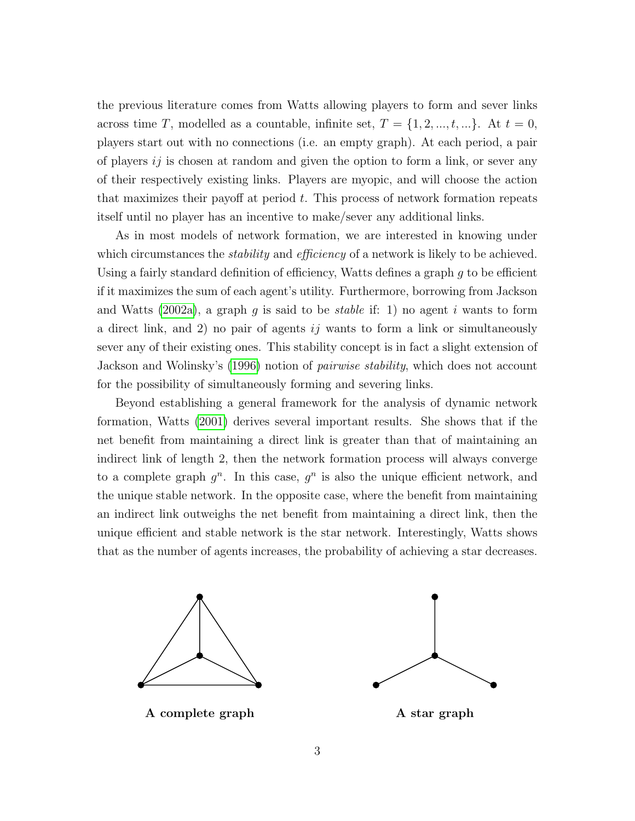the previous literature comes from Watts allowing players to form and sever links across time T, modelled as a countable, infinite set,  $T = \{1, 2, ..., t, ...\}$ . At  $t = 0$ , players start out with no connections (i.e. an empty graph). At each period, a pair of players  $i\dot{\jmath}$  is chosen at random and given the option to form a link, or sever any of their respectively existing links. Players are myopic, and will choose the action that maximizes their payoff at period  $t$ . This process of network formation repeats itself until no player has an incentive to make/sever any additional links.

As in most models of network formation, we are interested in knowing under which circumstances the *stability* and *efficiency* of a network is likely to be achieved. Using a fairly standard definition of efficiency, Watts defines a graph g to be efficient if it maximizes the sum of each agent's utility. Furthermore, borrowing from Jackson and Watts [\(2002a\)](#page-15-3), a graph g is said to be *stable* if: 1) no agent i wants to form a direct link, and 2) no pair of agents  $i\dot{j}$  wants to form a link or simultaneously sever any of their existing ones. This stability concept is in fact a slight extension of Jackson and Wolinsky's [\(1996\)](#page-15-1) notion of pairwise stability, which does not account for the possibility of simultaneously forming and severing links.

Beyond establishing a general framework for the analysis of dynamic network formation, Watts [\(2001\)](#page-16-2) derives several important results. She shows that if the net benefit from maintaining a direct link is greater than that of maintaining an indirect link of length 2, then the network formation process will always converge to a complete graph  $g^n$ . In this case,  $g^n$  is also the unique efficient network, and the unique stable network. In the opposite case, where the benefit from maintaining an indirect link outweighs the net benefit from maintaining a direct link, then the unique efficient and stable network is the star network. Interestingly, Watts shows that as the number of agents increases, the probability of achieving a star decreases.



A complete graph A star graph

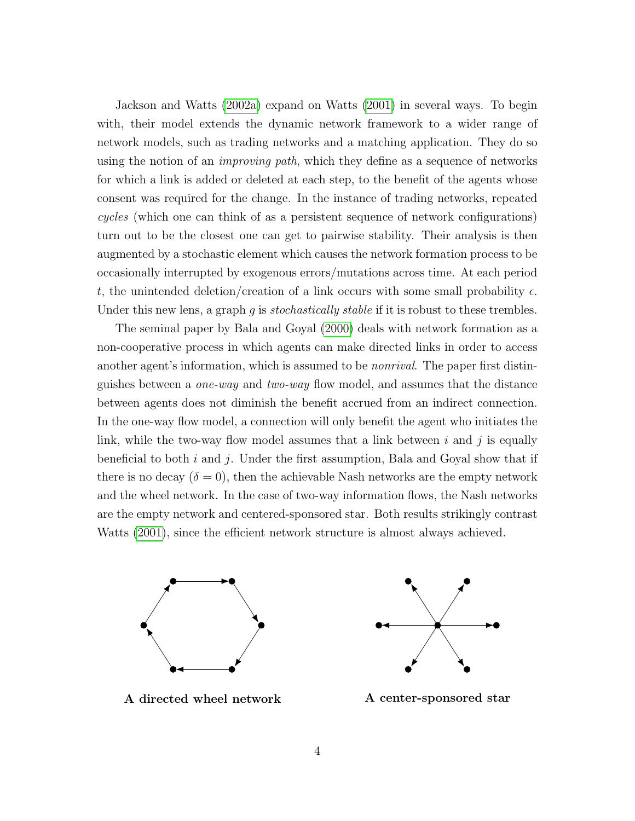Jackson and Watts [\(2002a\)](#page-15-3) expand on Watts [\(2001\)](#page-16-2) in several ways. To begin with, their model extends the dynamic network framework to a wider range of network models, such as trading networks and a matching application. They do so using the notion of an *improving path*, which they define as a sequence of networks for which a link is added or deleted at each step, to the benefit of the agents whose consent was required for the change. In the instance of trading networks, repeated cycles (which one can think of as a persistent sequence of network configurations) turn out to be the closest one can get to pairwise stability. Their analysis is then augmented by a stochastic element which causes the network formation process to be occasionally interrupted by exogenous errors/mutations across time. At each period t, the unintended deletion/creation of a link occurs with some small probability  $\epsilon$ . Under this new lens, a graph q is *stochastically stable* if it is robust to these trembles.

The seminal paper by Bala and Goyal [\(2000\)](#page-14-2) deals with network formation as a non-cooperative process in which agents can make directed links in order to access another agent's information, which is assumed to be *nonrival*. The paper first distinguishes between a one-way and two-way flow model, and assumes that the distance between agents does not diminish the benefit accrued from an indirect connection. In the one-way flow model, a connection will only benefit the agent who initiates the link, while the two-way flow model assumes that a link between  $i$  and  $j$  is equally beneficial to both i and j. Under the first assumption, Bala and Goyal show that if there is no decay  $(\delta = 0)$ , then the achievable Nash networks are the empty network and the wheel network. In the case of two-way information flows, the Nash networks are the empty network and centered-sponsored star. Both results strikingly contrast Watts [\(2001\)](#page-16-2), since the efficient network structure is almost always achieved.





A directed wheel network A center-sponsored star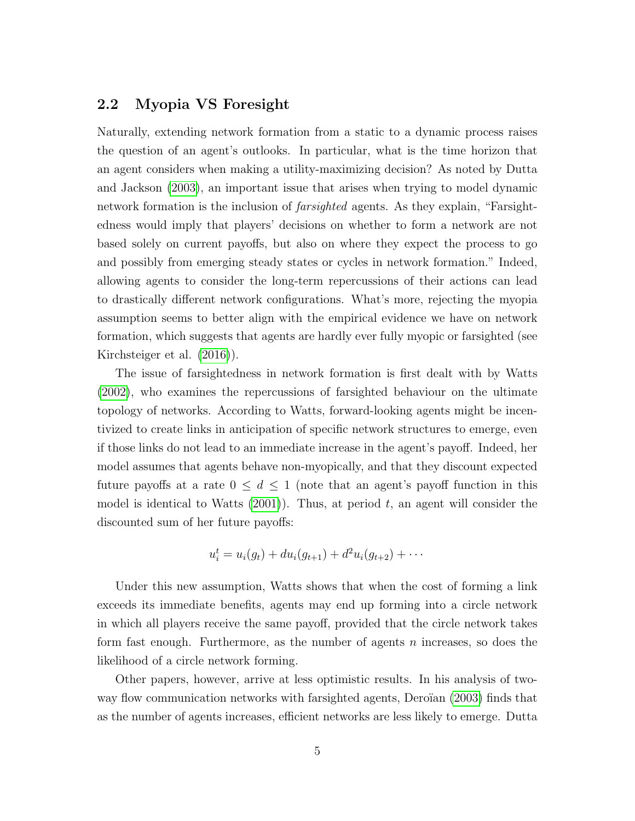#### 2.2 Myopia VS Foresight

Naturally, extending network formation from a static to a dynamic process raises the question of an agent's outlooks. In particular, what is the time horizon that an agent considers when making a utility-maximizing decision? As noted by Dutta and Jackson [\(2003\)](#page-14-3), an important issue that arises when trying to model dynamic network formation is the inclusion of *farsighted* agents. As they explain, "Farsightedness would imply that players' decisions on whether to form a network are not based solely on current payoffs, but also on where they expect the process to go and possibly from emerging steady states or cycles in network formation." Indeed, allowing agents to consider the long-term repercussions of their actions can lead to drastically different network configurations. What's more, rejecting the myopia assumption seems to better align with the empirical evidence we have on network formation, which suggests that agents are hardly ever fully myopic or farsighted (see Kirchsteiger et al. [\(2016\)](#page-15-4)).

The issue of farsightedness in network formation is first dealt with by Watts [\(2002\)](#page-16-3), who examines the repercussions of farsighted behaviour on the ultimate topology of networks. According to Watts, forward-looking agents might be incentivized to create links in anticipation of specific network structures to emerge, even if those links do not lead to an immediate increase in the agent's payoff. Indeed, her model assumes that agents behave non-myopically, and that they discount expected future payoffs at a rate  $0 \leq d \leq 1$  (note that an agent's payoff function in this model is identical to Watts  $(2001)$ ). Thus, at period t, an agent will consider the discounted sum of her future payoffs:

$$
u_i^t = u_i(g_t) + du_i(g_{t+1}) + d^2u_i(g_{t+2}) + \cdots
$$

Under this new assumption, Watts shows that when the cost of forming a link exceeds its immediate benefits, agents may end up forming into a circle network in which all players receive the same payoff, provided that the circle network takes form fast enough. Furthermore, as the number of agents n increases, so does the likelihood of a circle network forming.

Other papers, however, arrive at less optimistic results. In his analysis of two-way flow communication networks with farsighted agents, Deroïan [\(2003\)](#page-14-4) finds that as the number of agents increases, efficient networks are less likely to emerge. Dutta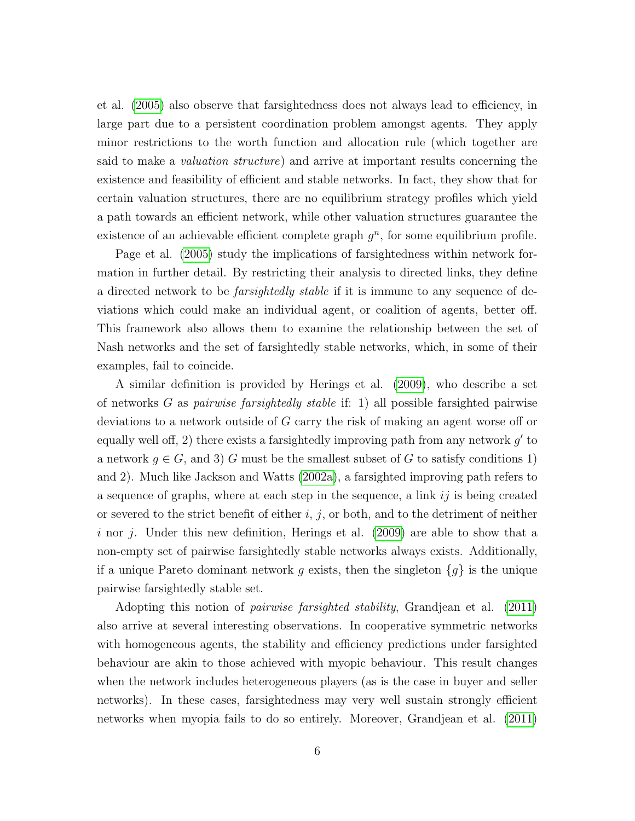et al. [\(2005\)](#page-14-5) also observe that farsightedness does not always lead to efficiency, in large part due to a persistent coordination problem amongst agents. They apply minor restrictions to the worth function and allocation rule (which together are said to make a valuation structure) and arrive at important results concerning the existence and feasibility of efficient and stable networks. In fact, they show that for certain valuation structures, there are no equilibrium strategy profiles which yield a path towards an efficient network, while other valuation structures guarantee the existence of an achievable efficient complete graph  $g<sup>n</sup>$ , for some equilibrium profile.

Page et al. [\(2005\)](#page-16-4) study the implications of farsightedness within network formation in further detail. By restricting their analysis to directed links, they define a directed network to be *farsightedly stable* if it is immune to any sequence of deviations which could make an individual agent, or coalition of agents, better off. This framework also allows them to examine the relationship between the set of Nash networks and the set of farsightedly stable networks, which, in some of their examples, fail to coincide.

A similar definition is provided by Herings et al. [\(2009\)](#page-15-5), who describe a set of networks G as pairwise farsightedly stable if: 1) all possible farsighted pairwise deviations to a network outside of G carry the risk of making an agent worse off or equally well off, 2) there exists a farsightedly improving path from any network  $g'$  to a network  $g \in G$ , and 3) G must be the smallest subset of G to satisfy conditions 1) and 2). Much like Jackson and Watts [\(2002a\)](#page-15-3), a farsighted improving path refers to a sequence of graphs, where at each step in the sequence, a link  $ij$  is being created or severed to the strict benefit of either  $i, j$ , or both, and to the detriment of neither i nor j. Under this new definition, Herings et al.  $(2009)$  are able to show that a non-empty set of pairwise farsightedly stable networks always exists. Additionally, if a unique Pareto dominant network g exists, then the singleton  $\{g\}$  is the unique pairwise farsightedly stable set.

Adopting this notion of pairwise farsighted stability, Grandjean et al. [\(2011\)](#page-15-6) also arrive at several interesting observations. In cooperative symmetric networks with homogeneous agents, the stability and efficiency predictions under farsighted behaviour are akin to those achieved with myopic behaviour. This result changes when the network includes heterogeneous players (as is the case in buyer and seller networks). In these cases, farsightedness may very well sustain strongly efficient networks when myopia fails to do so entirely. Moreover, Grandjean et al. [\(2011\)](#page-15-6)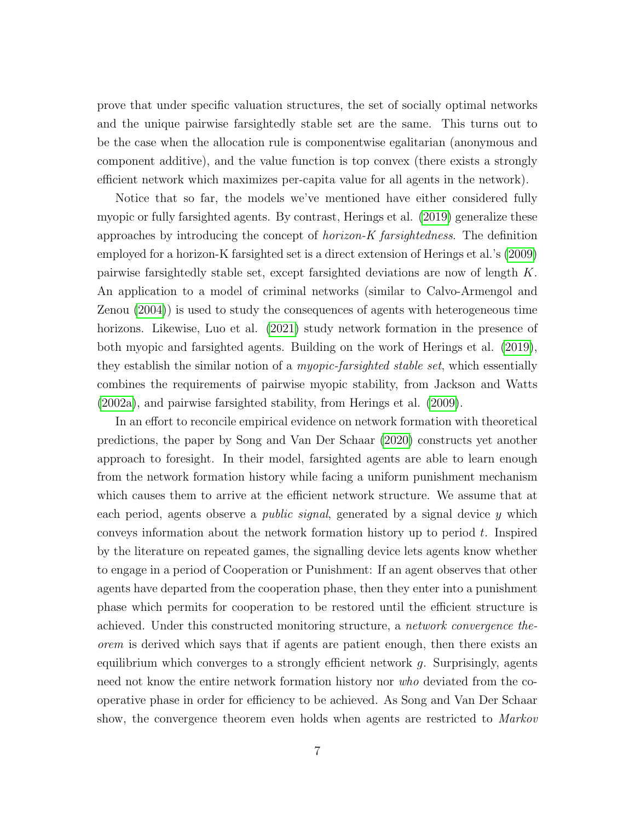prove that under specific valuation structures, the set of socially optimal networks and the unique pairwise farsightedly stable set are the same. This turns out to be the case when the allocation rule is componentwise egalitarian (anonymous and component additive), and the value function is top convex (there exists a strongly efficient network which maximizes per-capita value for all agents in the network).

Notice that so far, the models we've mentioned have either considered fully myopic or fully farsighted agents. By contrast, Herings et al. [\(2019\)](#page-15-7) generalize these approaches by introducing the concept of *horizon-K farsightedness*. The definition employed for a horizon-K farsighted set is a direct extension of Herings et al.'s [\(2009\)](#page-15-5) pairwise farsightedly stable set, except farsighted deviations are now of length K. An application to a model of criminal networks (similar to Calvo-Armengol and Zenou [\(2004\)](#page-14-6)) is used to study the consequences of agents with heterogeneous time horizons. Likewise, Luo et al. [\(2021\)](#page-16-5) study network formation in the presence of both myopic and farsighted agents. Building on the work of Herings et al. [\(2019\)](#page-15-7), they establish the similar notion of a *myopic-farsighted stable set*, which essentially combines the requirements of pairwise myopic stability, from Jackson and Watts [\(2002a\)](#page-15-3), and pairwise farsighted stability, from Herings et al. [\(2009\)](#page-15-5).

In an effort to reconcile empirical evidence on network formation with theoretical predictions, the paper by Song and Van Der Schaar [\(2020\)](#page-16-6) constructs yet another approach to foresight. In their model, farsighted agents are able to learn enough from the network formation history while facing a uniform punishment mechanism which causes them to arrive at the efficient network structure. We assume that at each period, agents observe a *public signal*, generated by a signal device  $y$  which conveys information about the network formation history up to period t. Inspired by the literature on repeated games, the signalling device lets agents know whether to engage in a period of Cooperation or Punishment: If an agent observes that other agents have departed from the cooperation phase, then they enter into a punishment phase which permits for cooperation to be restored until the efficient structure is achieved. Under this constructed monitoring structure, a network convergence theorem is derived which says that if agents are patient enough, then there exists an equilibrium which converges to a strongly efficient network  $g$ . Surprisingly, agents need not know the entire network formation history nor *who* deviated from the cooperative phase in order for efficiency to be achieved. As Song and Van Der Schaar show, the convergence theorem even holds when agents are restricted to Markov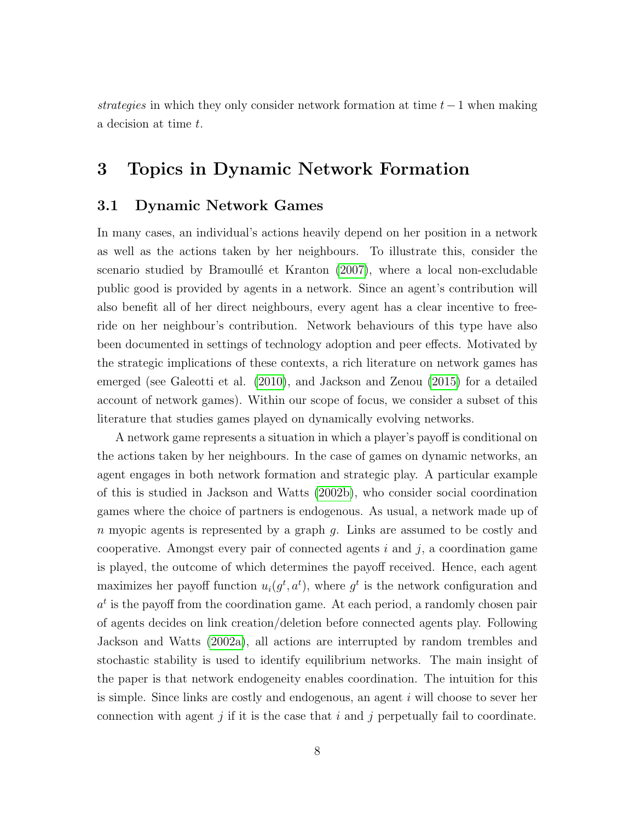strategies in which they only consider network formation at time  $t-1$  when making a decision at time t.

## 3 Topics in Dynamic Network Formation

#### 3.1 Dynamic Network Games

In many cases, an individual's actions heavily depend on her position in a network as well as the actions taken by her neighbours. To illustrate this, consider the scenario studied by Bramoullé et Kranton [\(2007\)](#page-14-7), where a local non-excludable public good is provided by agents in a network. Since an agent's contribution will also benefit all of her direct neighbours, every agent has a clear incentive to freeride on her neighbour's contribution. Network behaviours of this type have also been documented in settings of technology adoption and peer effects. Motivated by the strategic implications of these contexts, a rich literature on network games has emerged (see Galeotti et al. [\(2010\)](#page-15-8), and Jackson and Zenou [\(2015\)](#page-15-9) for a detailed account of network games). Within our scope of focus, we consider a subset of this literature that studies games played on dynamically evolving networks.

A network game represents a situation in which a player's payoff is conditional on the actions taken by her neighbours. In the case of games on dynamic networks, an agent engages in both network formation and strategic play. A particular example of this is studied in Jackson and Watts [\(2002b\)](#page-15-10), who consider social coordination games where the choice of partners is endogenous. As usual, a network made up of n myopic agents is represented by a graph g. Links are assumed to be costly and cooperative. Amongst every pair of connected agents  $i$  and  $j$ , a coordination game is played, the outcome of which determines the payoff received. Hence, each agent maximizes her payoff function  $u_i(g^t, a^t)$ , where  $g^t$  is the network configuration and  $a<sup>t</sup>$  is the payoff from the coordination game. At each period, a randomly chosen pair of agents decides on link creation/deletion before connected agents play. Following Jackson and Watts [\(2002a\)](#page-15-3), all actions are interrupted by random trembles and stochastic stability is used to identify equilibrium networks. The main insight of the paper is that network endogeneity enables coordination. The intuition for this is simple. Since links are costly and endogenous, an agent i will choose to sever her connection with agent j if it is the case that i and j perpetually fail to coordinate.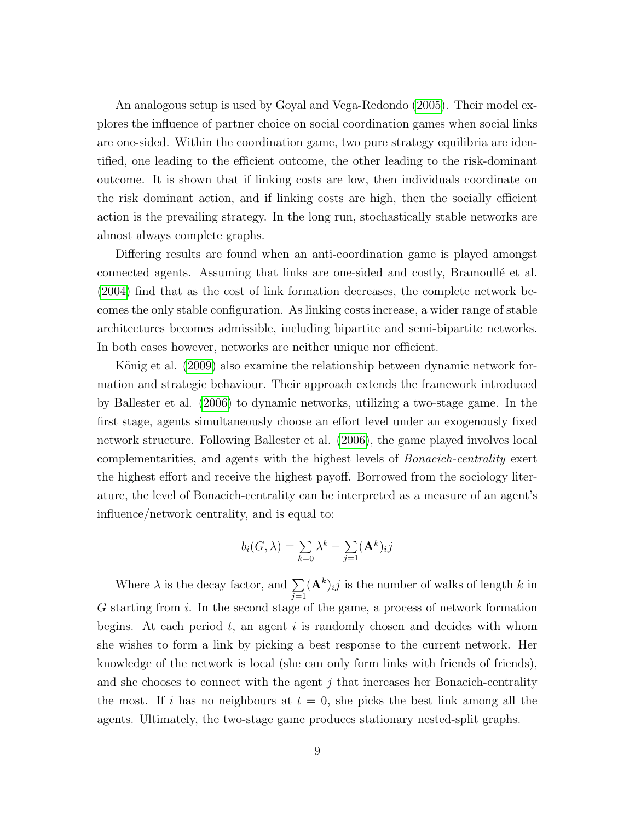An analogous setup is used by Goyal and Vega-Redondo [\(2005\)](#page-15-11). Their model explores the influence of partner choice on social coordination games when social links are one-sided. Within the coordination game, two pure strategy equilibria are identified, one leading to the efficient outcome, the other leading to the risk-dominant outcome. It is shown that if linking costs are low, then individuals coordinate on the risk dominant action, and if linking costs are high, then the socially efficient action is the prevailing strategy. In the long run, stochastically stable networks are almost always complete graphs.

Differing results are found when an anti-coordination game is played amongst connected agents. Assuming that links are one-sided and costly, Bramoullé et al. [\(2004\)](#page-14-8) find that as the cost of link formation decreases, the complete network becomes the only stable configuration. As linking costs increase, a wider range of stable architectures becomes admissible, including bipartite and semi-bipartite networks. In both cases however, networks are neither unique nor efficient.

König et al. [\(2009\)](#page-16-7) also examine the relationship between dynamic network formation and strategic behaviour. Their approach extends the framework introduced by Ballester et al. [\(2006\)](#page-14-9) to dynamic networks, utilizing a two-stage game. In the first stage, agents simultaneously choose an effort level under an exogenously fixed network structure. Following Ballester et al. [\(2006\)](#page-14-9), the game played involves local complementarities, and agents with the highest levels of Bonacich-centrality exert the highest effort and receive the highest payoff. Borrowed from the sociology literature, the level of Bonacich-centrality can be interpreted as a measure of an agent's influence/network centrality, and is equal to:

$$
b_i(G, \lambda) = \sum_{k=0} \lambda^k - \sum_{j=1} (A^k)_{ij}
$$

Where  $\lambda$  is the decay factor, and  $\Sigma$  $j=1$  $(\mathbf{A}^k)_{ij}$  is the number of walks of length k in G starting from i. In the second stage of the game, a process of network formation begins. At each period  $t$ , an agent  $i$  is randomly chosen and decides with whom she wishes to form a link by picking a best response to the current network. Her knowledge of the network is local (she can only form links with friends of friends), and she chooses to connect with the agent  $j$  that increases her Bonacich-centrality the most. If i has no neighbours at  $t = 0$ , she picks the best link among all the agents. Ultimately, the two-stage game produces stationary nested-split graphs.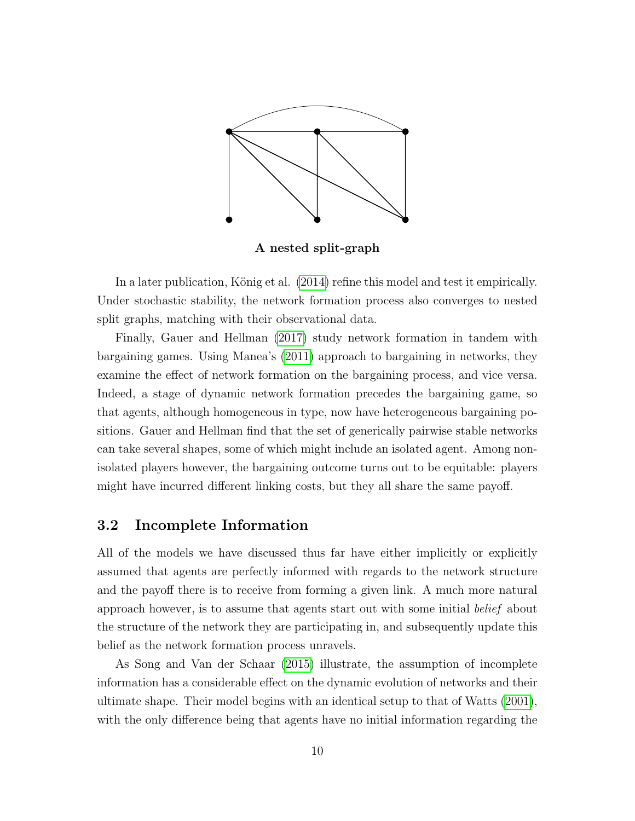

A nested split-graph

In a later publication, König et al. [\(2014\)](#page-16-8) refine this model and test it empirically. Under stochastic stability, the network formation process also converges to nested split graphs, matching with their observational data.

Finally, Gauer and Hellman [\(2017\)](#page-15-12) study network formation in tandem with bargaining games. Using Manea's [\(2011\)](#page-16-9) approach to bargaining in networks, they examine the effect of network formation on the bargaining process, and vice versa. Indeed, a stage of dynamic network formation precedes the bargaining game, so that agents, although homogeneous in type, now have heterogeneous bargaining positions. Gauer and Hellman find that the set of generically pairwise stable networks can take several shapes, some of which might include an isolated agent. Among nonisolated players however, the bargaining outcome turns out to be equitable: players might have incurred different linking costs, but they all share the same payoff.

#### 3.2 Incomplete Information

All of the models we have discussed thus far have either implicitly or explicitly assumed that agents are perfectly informed with regards to the network structure and the payoff there is to receive from forming a given link. A much more natural approach however, is to assume that agents start out with some initial belief about the structure of the network they are participating in, and subsequently update this belief as the network formation process unravels.

As Song and Van der Schaar [\(2015\)](#page-16-10) illustrate, the assumption of incomplete information has a considerable effect on the dynamic evolution of networks and their ultimate shape. Their model begins with an identical setup to that of Watts [\(2001\)](#page-16-2), with the only difference being that agents have no initial information regarding the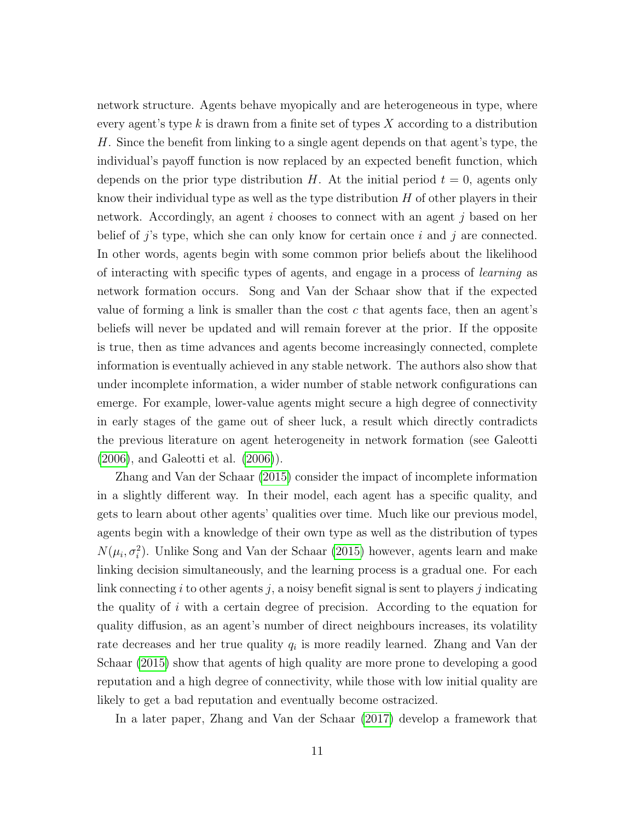network structure. Agents behave myopically and are heterogeneous in type, where every agent's type  $k$  is drawn from a finite set of types  $X$  according to a distribution H. Since the benefit from linking to a single agent depends on that agent's type, the individual's payoff function is now replaced by an expected benefit function, which depends on the prior type distribution H. At the initial period  $t = 0$ , agents only know their individual type as well as the type distribution  $H$  of other players in their network. Accordingly, an agent i chooses to connect with an agent j based on her belief of j's type, which she can only know for certain once i and j are connected. In other words, agents begin with some common prior beliefs about the likelihood of interacting with specific types of agents, and engage in a process of learning as network formation occurs. Song and Van der Schaar show that if the expected value of forming a link is smaller than the cost  $c$  that agents face, then an agent's beliefs will never be updated and will remain forever at the prior. If the opposite is true, then as time advances and agents become increasingly connected, complete information is eventually achieved in any stable network. The authors also show that under incomplete information, a wider number of stable network configurations can emerge. For example, lower-value agents might secure a high degree of connectivity in early stages of the game out of sheer luck, a result which directly contradicts the previous literature on agent heterogeneity in network formation (see Galeotti [\(2006\)](#page-14-10), and Galeotti et al. [\(2006\)](#page-14-11)).

Zhang and Van der Schaar [\(2015\)](#page-16-11) consider the impact of incomplete information in a slightly different way. In their model, each agent has a specific quality, and gets to learn about other agents' qualities over time. Much like our previous model, agents begin with a knowledge of their own type as well as the distribution of types  $N(\mu_i, \sigma_i^2)$ . Unlike Song and Van der Schaar [\(2015\)](#page-16-10) however, agents learn and make linking decision simultaneously, and the learning process is a gradual one. For each link connecting i to other agents j, a noisy benefit signal is sent to players j indicating the quality of  $i$  with a certain degree of precision. According to the equation for quality diffusion, as an agent's number of direct neighbours increases, its volatility rate decreases and her true quality  $q_i$  is more readily learned. Zhang and Van der Schaar [\(2015\)](#page-16-11) show that agents of high quality are more prone to developing a good reputation and a high degree of connectivity, while those with low initial quality are likely to get a bad reputation and eventually become ostracized.

In a later paper, Zhang and Van der Schaar [\(2017\)](#page-17-0) develop a framework that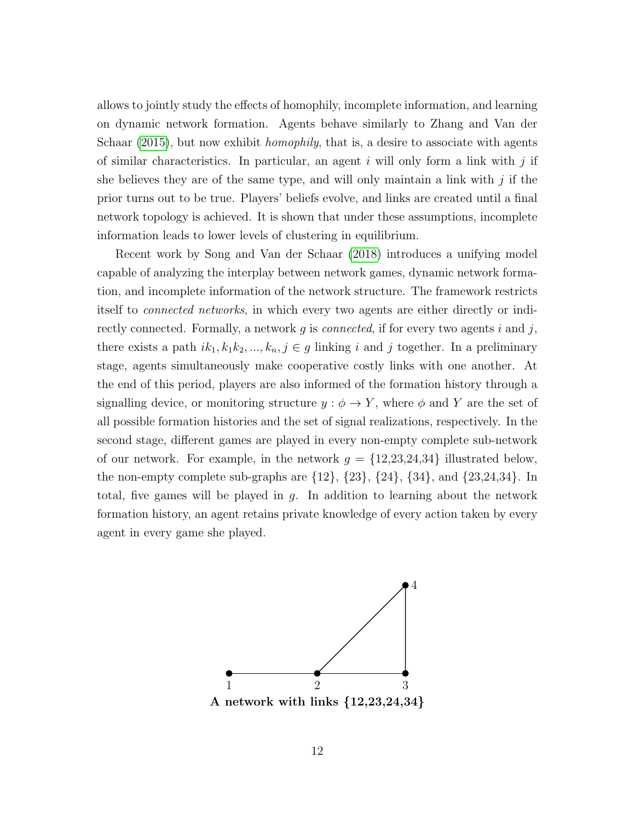allows to jointly study the effects of homophily, incomplete information, and learning on dynamic network formation. Agents behave similarly to Zhang and Van der Schaar [\(2015\)](#page-16-11), but now exhibit *homophily*, that is, a desire to associate with agents of similar characteristics. In particular, an agent i will only form a link with j if she believes they are of the same type, and will only maintain a link with  $j$  if the prior turns out to be true. Players' beliefs evolve, and links are created until a final network topology is achieved. It is shown that under these assumptions, incomplete information leads to lower levels of clustering in equilibrium.

Recent work by Song and Van der Schaar [\(2018\)](#page-16-12) introduces a unifying model capable of analyzing the interplay between network games, dynamic network formation, and incomplete information of the network structure. The framework restricts itself to connected networks, in which every two agents are either directly or indirectly connected. Formally, a network  $g$  is *connected*, if for every two agents  $i$  and  $j$ , there exists a path  $ik_1, k_1k_2, ..., k_n, j \in g$  linking i and j together. In a preliminary stage, agents simultaneously make cooperative costly links with one another. At the end of this period, players are also informed of the formation history through a signalling device, or monitoring structure  $y : \phi \to Y$ , where  $\phi$  and Y are the set of all possible formation histories and the set of signal realizations, respectively. In the second stage, different games are played in every non-empty complete sub-network of our network. For example, in the network  $g = \{12, 23, 24, 34\}$  illustrated below, the non-empty complete sub-graphs are  $\{12\}$ ,  $\{23\}$ ,  $\{24\}$ ,  $\{34\}$ , and  $\{23,24,34\}$ . In total, five games will be played in  $g$ . In addition to learning about the network formation history, an agent retains private knowledge of every action taken by every agent in every game she played.



A network with links {12,23,24,34}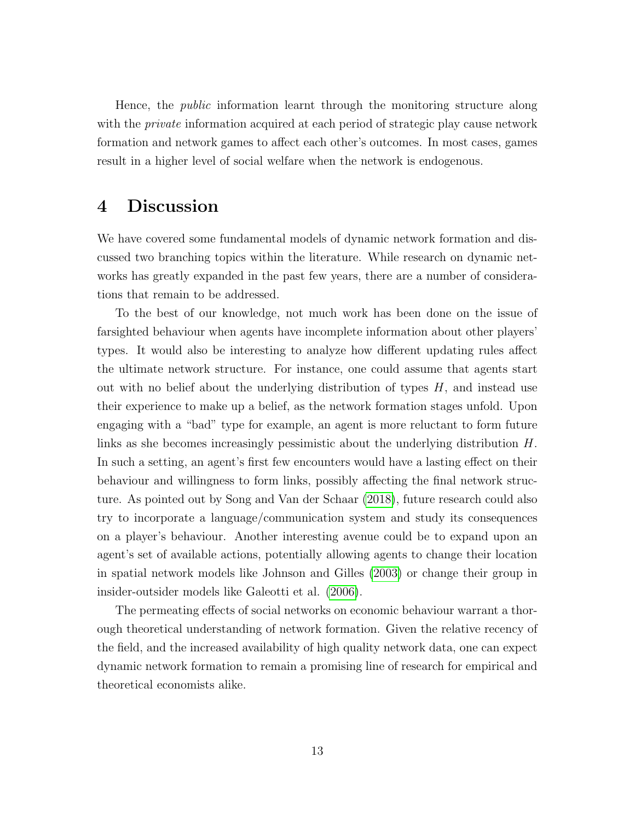Hence, the *public* information learnt through the monitoring structure along with the *private* information acquired at each period of strategic play cause network formation and network games to affect each other's outcomes. In most cases, games result in a higher level of social welfare when the network is endogenous.

### 4 Discussion

We have covered some fundamental models of dynamic network formation and discussed two branching topics within the literature. While research on dynamic networks has greatly expanded in the past few years, there are a number of considerations that remain to be addressed.

To the best of our knowledge, not much work has been done on the issue of farsighted behaviour when agents have incomplete information about other players' types. It would also be interesting to analyze how different updating rules affect the ultimate network structure. For instance, one could assume that agents start out with no belief about the underlying distribution of types  $H$ , and instead use their experience to make up a belief, as the network formation stages unfold. Upon engaging with a "bad" type for example, an agent is more reluctant to form future links as she becomes increasingly pessimistic about the underlying distribution H. In such a setting, an agent's first few encounters would have a lasting effect on their behaviour and willingness to form links, possibly affecting the final network structure. As pointed out by Song and Van der Schaar [\(2018\)](#page-16-12), future research could also try to incorporate a language/communication system and study its consequences on a player's behaviour. Another interesting avenue could be to expand upon an agent's set of available actions, potentially allowing agents to change their location in spatial network models like Johnson and Gilles [\(2003\)](#page-15-2) or change their group in insider-outsider models like Galeotti et al. [\(2006\)](#page-14-11).

The permeating effects of social networks on economic behaviour warrant a thorough theoretical understanding of network formation. Given the relative recency of the field, and the increased availability of high quality network data, one can expect dynamic network formation to remain a promising line of research for empirical and theoretical economists alike.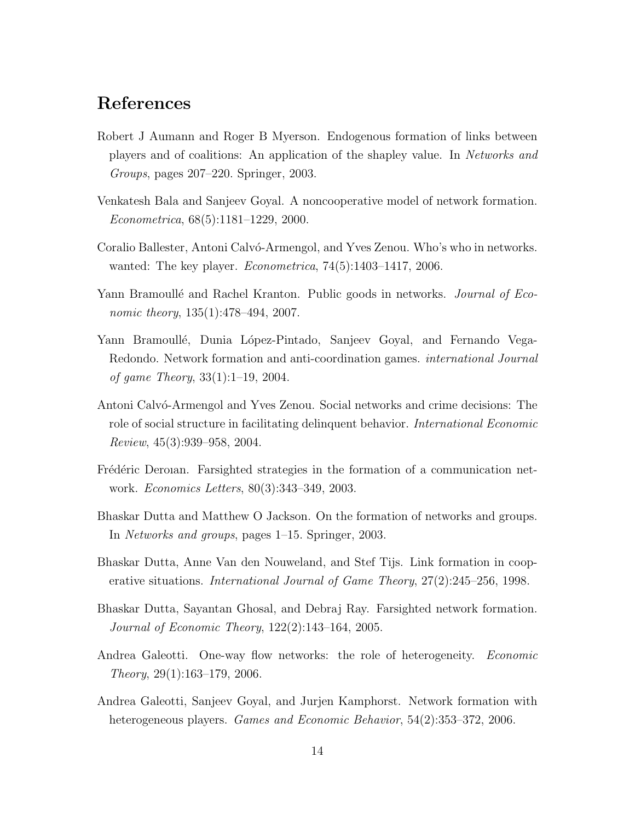## References

- <span id="page-14-0"></span>Robert J Aumann and Roger B Myerson. Endogenous formation of links between players and of coalitions: An application of the shapley value. In Networks and Groups, pages 207–220. Springer, 2003.
- <span id="page-14-2"></span>Venkatesh Bala and Sanjeev Goyal. A noncooperative model of network formation. Econometrica, 68(5):1181–1229, 2000.
- <span id="page-14-9"></span>Coralio Ballester, Antoni Calvó-Armengol, and Yves Zenou. Who's who in networks. wanted: The key player. Econometrica, 74(5):1403–1417, 2006.
- <span id="page-14-7"></span>Yann Bramoullé and Rachel Kranton. Public goods in networks. *Journal of Eco*nomic theory,  $135(1):478-494$ , 2007.
- <span id="page-14-8"></span>Yann Bramoullé, Dunia López-Pintado, Sanjeev Goyal, and Fernando Vega-Redondo. Network formation and anti-coordination games. international Journal of game Theory, 33(1):1–19, 2004.
- <span id="page-14-6"></span>Antoni Calvó-Armengol and Yves Zenou. Social networks and crime decisions: The role of social structure in facilitating delinquent behavior. International Economic Review, 45(3):939–958, 2004.
- <span id="page-14-4"></span>Frédéric Deroian. Farsighted strategies in the formation of a communication network. Economics Letters, 80(3):343–349, 2003.
- <span id="page-14-3"></span>Bhaskar Dutta and Matthew O Jackson. On the formation of networks and groups. In Networks and groups, pages 1–15. Springer, 2003.
- <span id="page-14-1"></span>Bhaskar Dutta, Anne Van den Nouweland, and Stef Tijs. Link formation in cooperative situations. International Journal of Game Theory, 27(2):245–256, 1998.
- <span id="page-14-5"></span>Bhaskar Dutta, Sayantan Ghosal, and Debraj Ray. Farsighted network formation. Journal of Economic Theory, 122(2):143–164, 2005.
- <span id="page-14-10"></span>Andrea Galeotti. One-way flow networks: the role of heterogeneity. *Economic* Theory, 29(1):163–179, 2006.
- <span id="page-14-11"></span>Andrea Galeotti, Sanjeev Goyal, and Jurjen Kamphorst. Network formation with heterogeneous players. Games and Economic Behavior, 54(2):353–372, 2006.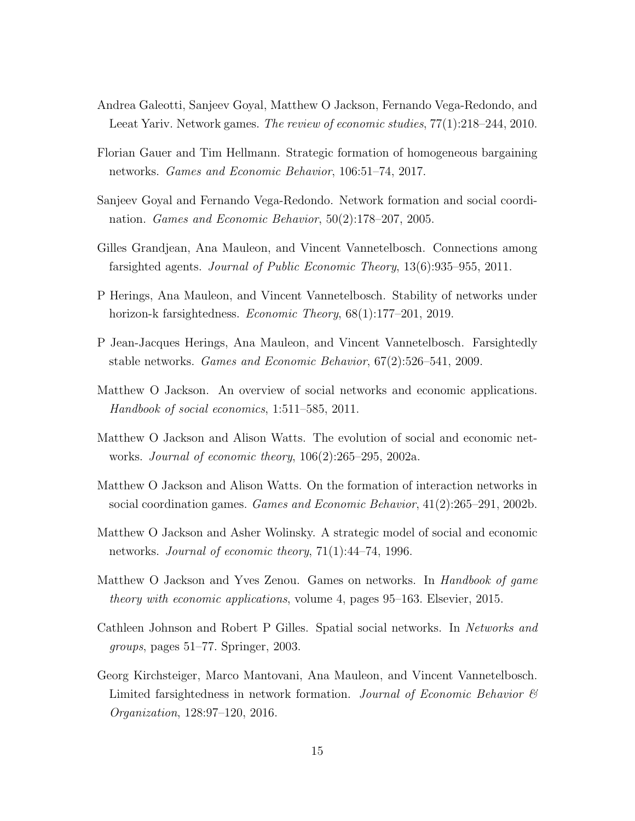- <span id="page-15-8"></span>Andrea Galeotti, Sanjeev Goyal, Matthew O Jackson, Fernando Vega-Redondo, and Leeat Yariv. Network games. The review of economic studies, 77(1):218–244, 2010.
- <span id="page-15-12"></span>Florian Gauer and Tim Hellmann. Strategic formation of homogeneous bargaining networks. Games and Economic Behavior, 106:51–74, 2017.
- <span id="page-15-11"></span>Sanjeev Goyal and Fernando Vega-Redondo. Network formation and social coordination. Games and Economic Behavior, 50(2):178–207, 2005.
- <span id="page-15-6"></span>Gilles Grandjean, Ana Mauleon, and Vincent Vannetelbosch. Connections among farsighted agents. Journal of Public Economic Theory, 13(6):935–955, 2011.
- <span id="page-15-7"></span>P Herings, Ana Mauleon, and Vincent Vannetelbosch. Stability of networks under horizon-k farsightedness. *Economic Theory*, 68(1):177–201, 2019.
- <span id="page-15-5"></span>P Jean-Jacques Herings, Ana Mauleon, and Vincent Vannetelbosch. Farsightedly stable networks. Games and Economic Behavior, 67(2):526–541, 2009.
- <span id="page-15-0"></span>Matthew O Jackson. An overview of social networks and economic applications. Handbook of social economics, 1:511–585, 2011.
- <span id="page-15-3"></span>Matthew O Jackson and Alison Watts. The evolution of social and economic networks. Journal of economic theory, 106(2):265–295, 2002a.
- <span id="page-15-10"></span>Matthew O Jackson and Alison Watts. On the formation of interaction networks in social coordination games. Games and Economic Behavior, 41(2):265–291, 2002b.
- <span id="page-15-1"></span>Matthew O Jackson and Asher Wolinsky. A strategic model of social and economic networks. Journal of economic theory, 71(1):44–74, 1996.
- <span id="page-15-9"></span>Matthew O Jackson and Yves Zenou. Games on networks. In Handbook of game theory with economic applications, volume 4, pages 95–163. Elsevier, 2015.
- <span id="page-15-2"></span>Cathleen Johnson and Robert P Gilles. Spatial social networks. In Networks and groups, pages 51–77. Springer, 2003.
- <span id="page-15-4"></span>Georg Kirchsteiger, Marco Mantovani, Ana Mauleon, and Vincent Vannetelbosch. Limited farsightedness in network formation. Journal of Economic Behavior  $\mathcal{C}$ Organization, 128:97–120, 2016.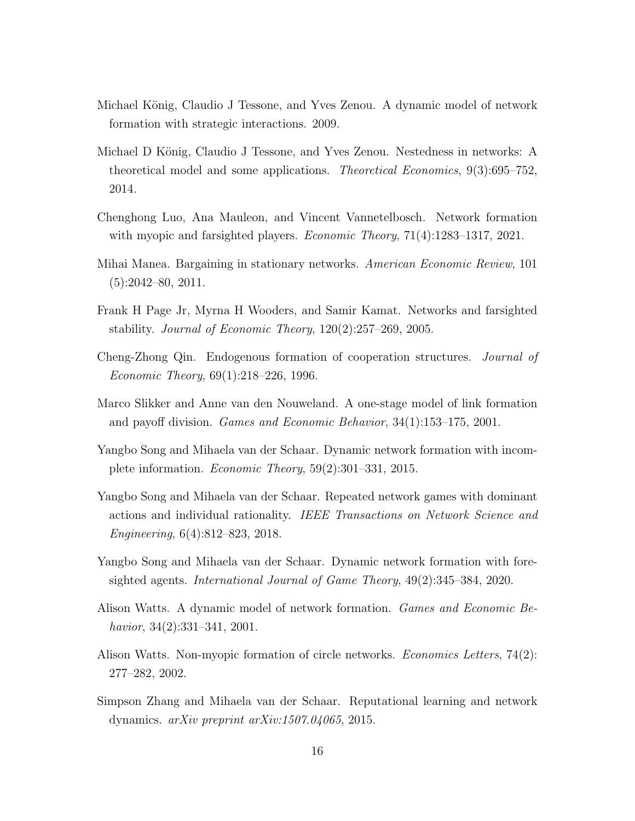- <span id="page-16-7"></span>Michael König, Claudio J Tessone, and Yves Zenou. A dynamic model of network formation with strategic interactions. 2009.
- <span id="page-16-8"></span>Michael D König, Claudio J Tessone, and Yves Zenou. Nestedness in networks: A theoretical model and some applications. Theoretical Economics, 9(3):695–752, 2014.
- <span id="page-16-5"></span>Chenghong Luo, Ana Mauleon, and Vincent Vannetelbosch. Network formation with myopic and farsighted players. *Economic Theory*,  $71(4):1283-1317, 2021$ .
- <span id="page-16-9"></span>Mihai Manea. Bargaining in stationary networks. American Economic Review, 101  $(5):2042-80, 2011.$
- <span id="page-16-4"></span>Frank H Page Jr, Myrna H Wooders, and Samir Kamat. Networks and farsighted stability. Journal of Economic Theory, 120(2):257–269, 2005.
- <span id="page-16-0"></span>Cheng-Zhong Qin. Endogenous formation of cooperation structures. Journal of Economic Theory, 69(1):218–226, 1996.
- <span id="page-16-1"></span>Marco Slikker and Anne van den Nouweland. A one-stage model of link formation and payoff division. Games and Economic Behavior, 34(1):153–175, 2001.
- <span id="page-16-10"></span>Yangbo Song and Mihaela van der Schaar. Dynamic network formation with incomplete information. Economic Theory, 59(2):301–331, 2015.
- <span id="page-16-12"></span>Yangbo Song and Mihaela van der Schaar. Repeated network games with dominant actions and individual rationality. IEEE Transactions on Network Science and Engineering, 6(4):812–823, 2018.
- <span id="page-16-6"></span>Yangbo Song and Mihaela van der Schaar. Dynamic network formation with foresighted agents. International Journal of Game Theory, 49(2):345–384, 2020.
- <span id="page-16-2"></span>Alison Watts. A dynamic model of network formation. Games and Economic Behavior, 34(2):331–341, 2001.
- <span id="page-16-3"></span>Alison Watts. Non-myopic formation of circle networks. *Economics Letters*, 74(2): 277–282, 2002.
- <span id="page-16-11"></span>Simpson Zhang and Mihaela van der Schaar. Reputational learning and network dynamics. arXiv preprint arXiv:1507.04065, 2015.